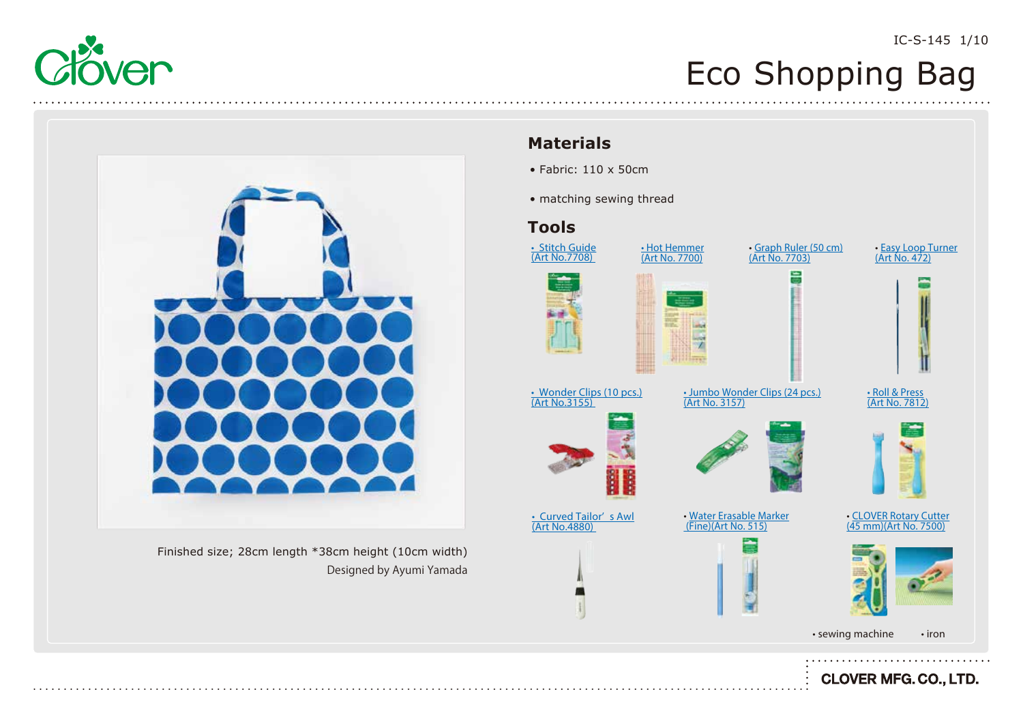



Finished size; 28cm length \*38cm height (10cm width) Designed by Ayumi Yamada

### **Materials**

- Fabric: 110 x 50cm
- matching sewing thread

### **Tools**

























<u>[• Hot Hemmer](https://www.clover-mfg.com/product/9/545)</u> <u>(Art No. 7700)</u>



(Art No. 3157)



[• Jumbo Wonder Clips \(24 pcs.\)](https://www.clover-mfg.com/product/9/280)

÷





[• CLOVER Rotary Cutter](https://www.clover-mfg.com/product/7/92) (45 mm)(Art No. 7500)

• Roll & Press [\(Art No. 7812\)](https://www.clover-mfg.com/product/9/544)

[• Easy Loop Turner](https://www.clover-mfg.com/product/9/226) <u>(Art No. 472)</u>

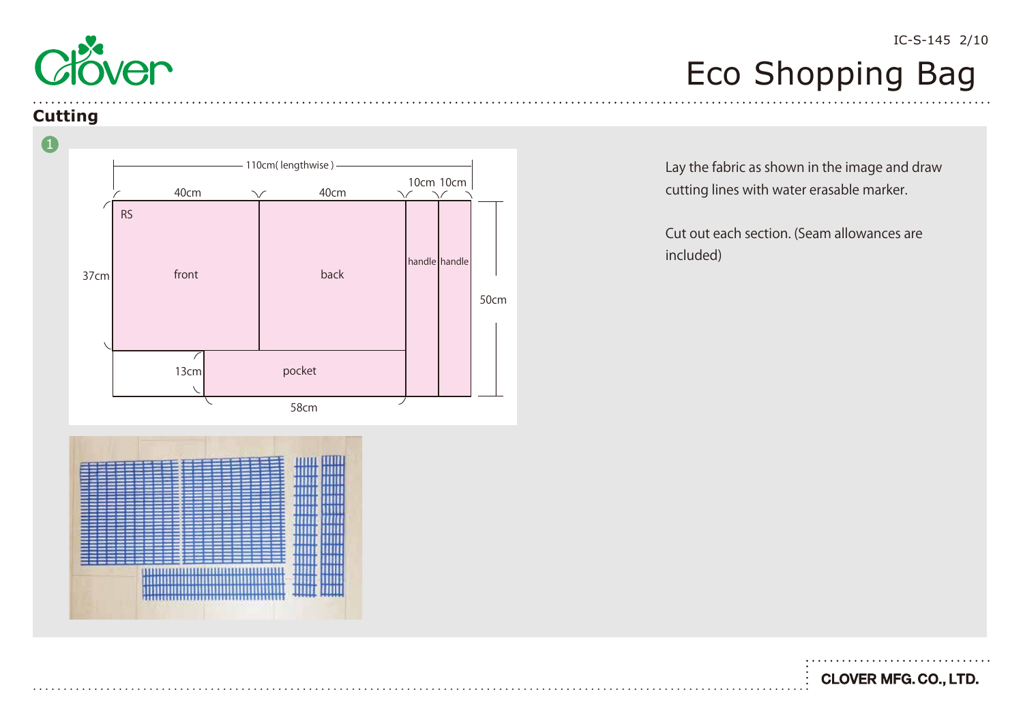

### **Cutting**



,,,,,,,,,,,,,,,,,,,,,,,,,,,,

Lay the fabric as shown in the image and draw cutting lines with water erasable marker.

Cut out each section. (Seam allowances are included)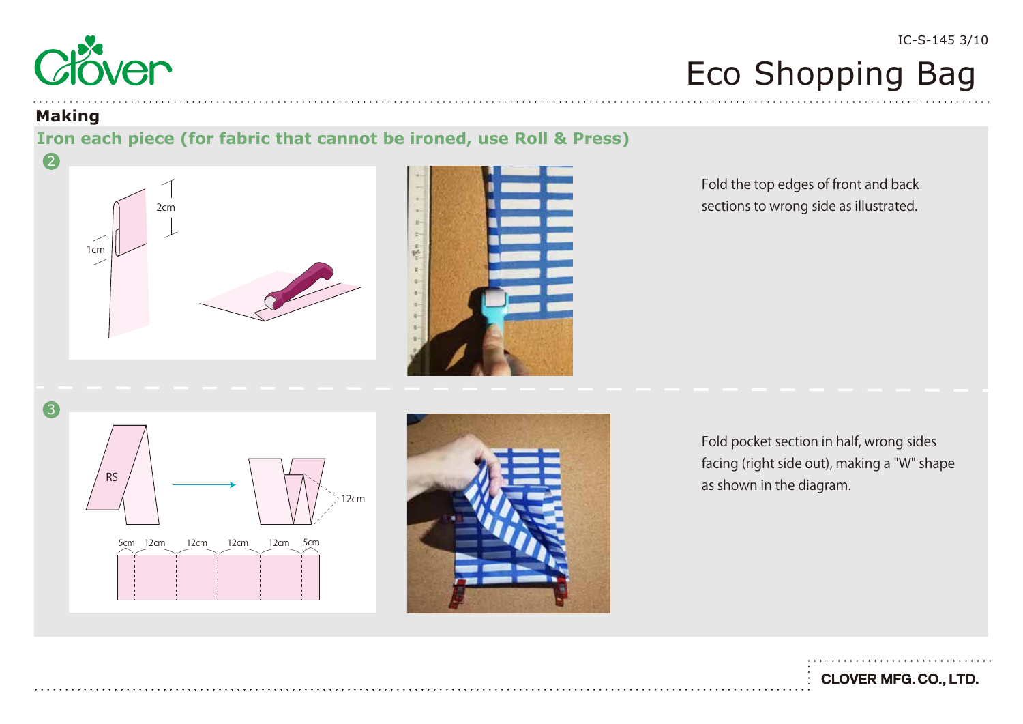

#### **Making**

### **Iron each piece (for fabric that cannot be ironed, use Roll & Press)**





Fold the top edges of front and back sections to wrong side as illustrated.

5cm 12cm 12cm 12cm 12cm 5cm 12cm RS 3



Fold pocket section in half, wrong sides facing (right side out), making a "W" shape as shown in the diagram.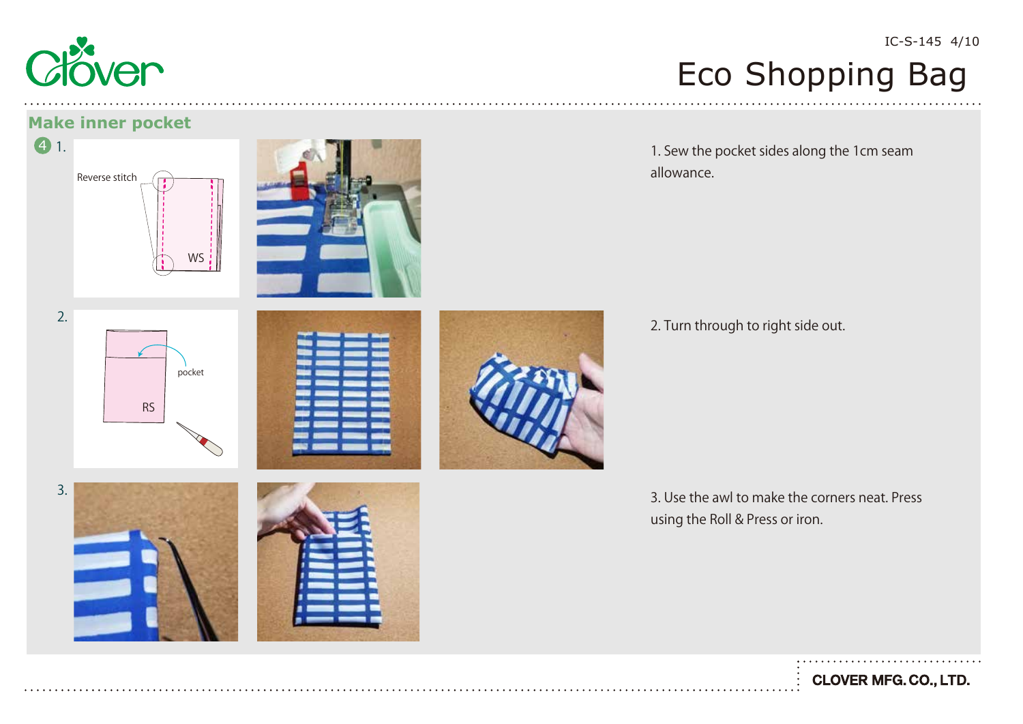

#### **Make inner pocket**



## Eco Shopping Bag

1. Sew the pocket sides along the 1cm seam allowance.

2. Turn through to right side out.

3. Use the awl to make the corners neat. Press using the Roll & Press or iron.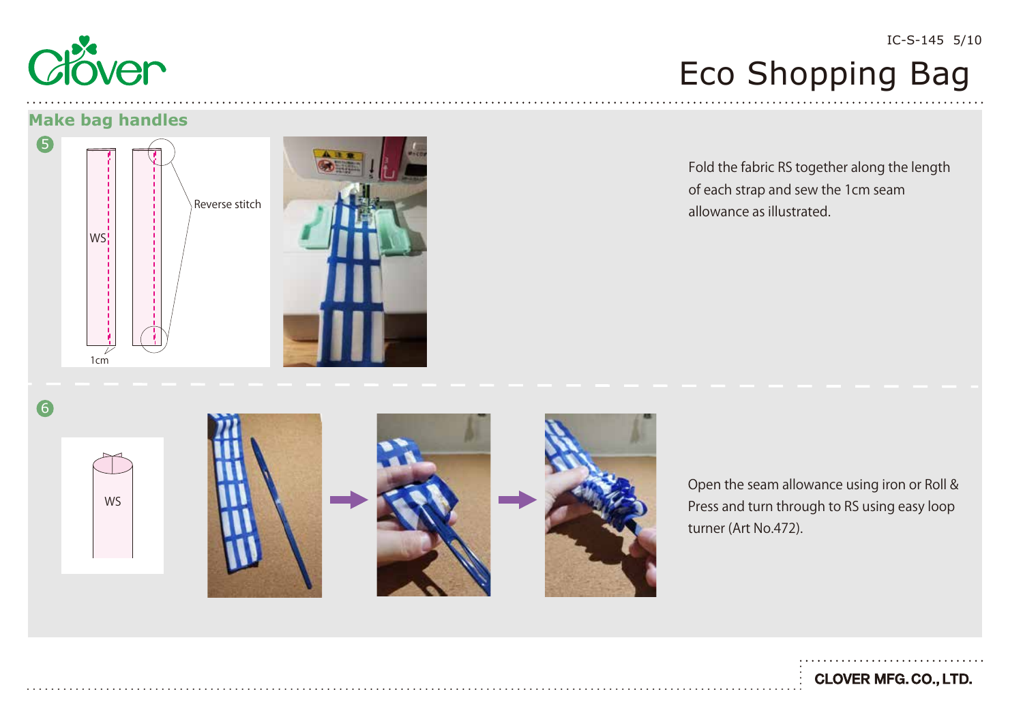

#### IC-S-145 5/10

### Eco Shopping Bag

#### **Make bag handles**





Fold the fabric RS together along the length of each strap and sew the 1cm seam allowance as illustrated.

6









Open the seam allowance using iron or Roll & Press and turn through to RS using easy loop turner (Art No.472).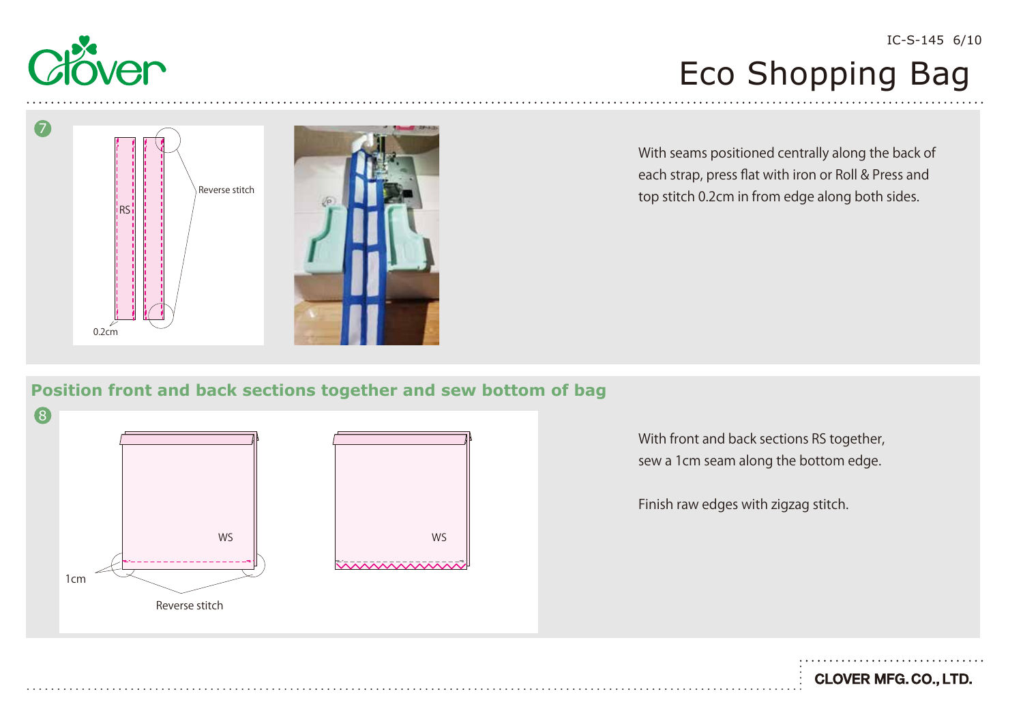

Reverse stitch 0.2cm RS 7

With seams positioned centrally along the back of each strap, press flat with iron or Roll & Press and top stitch 0.2cm in from edge along both sides.

### **Position front and back sections together and sew bottom of bag**



With front and back sections RS together, sew a 1cm seam along the bottom edge.

Finish raw edges with zigzag stitch.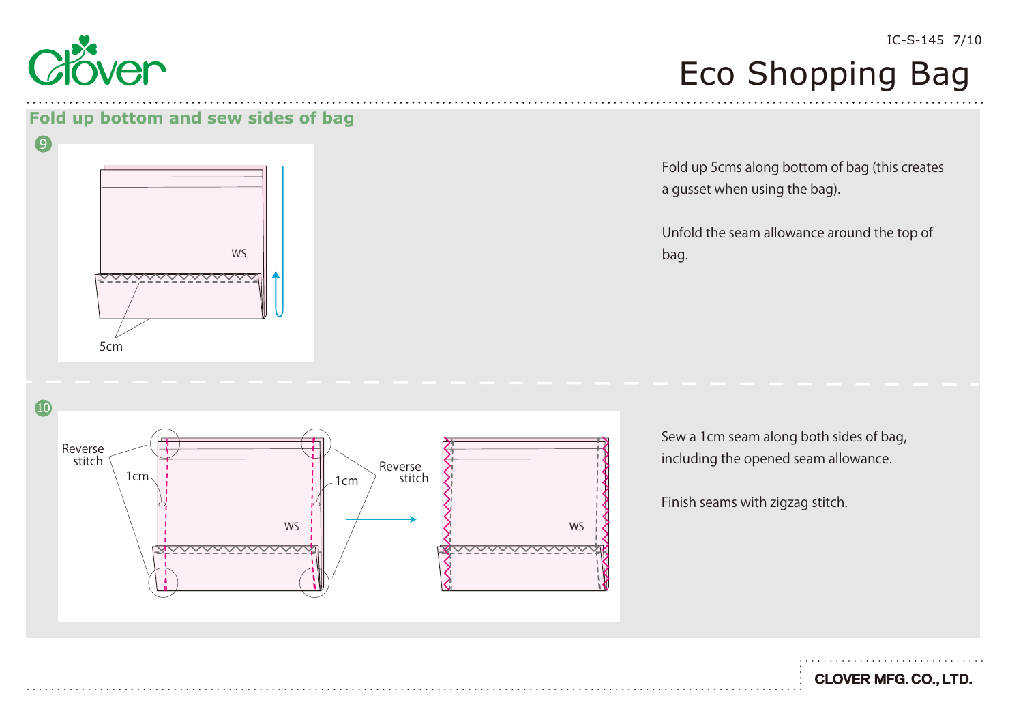

9

#### IC-S-145 7/10

### Eco Shopping Bag

#### **Fold up bottom and sew sides of bag**



Fold up 5cms along bottom of bag (this creates a gusset when using the bag).

Unfold the seam allowance around the top of bag.

Sew a 1cm seam along both sides of bag, including the opened seam allowance.

Finish seams with zigzag stitch.

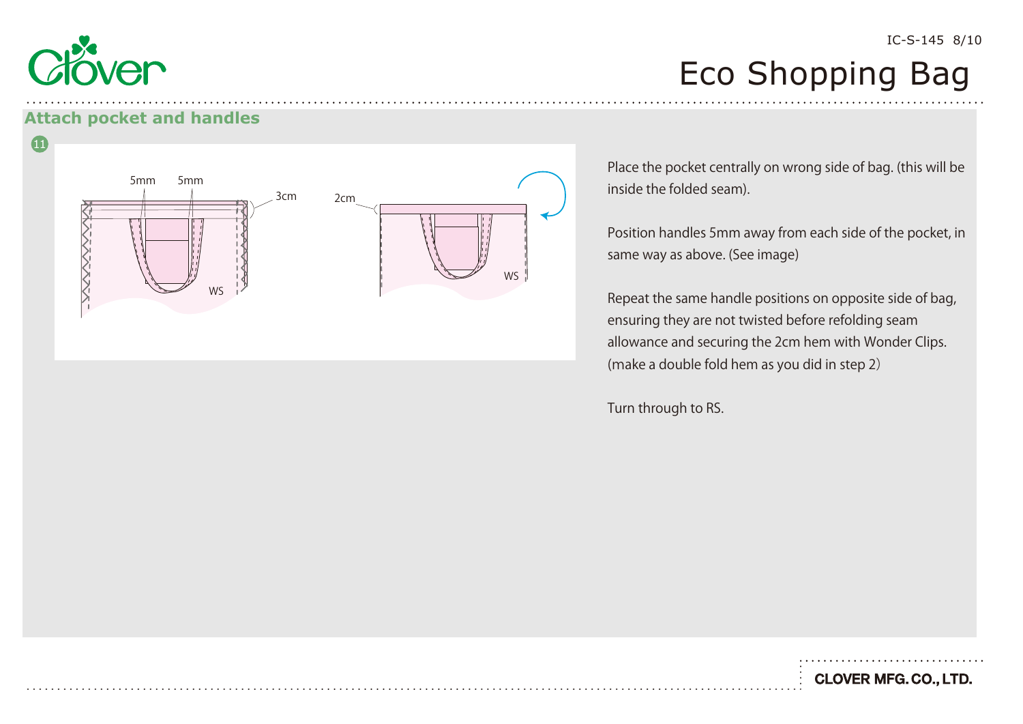

### **Attach pocket and handles**



Place the pocket centrally on wrong side of bag. (this will be inside the folded seam).

Position handles 5mm away from each side of the pocket, in same way as above. (See image)

Repeat the same handle positions on opposite side of bag, ensuring they are not twisted before refolding seam allowance and securing the 2cm hem with Wonder Clips. (make a double fold hem as you did in step 2)

Turn through to RS.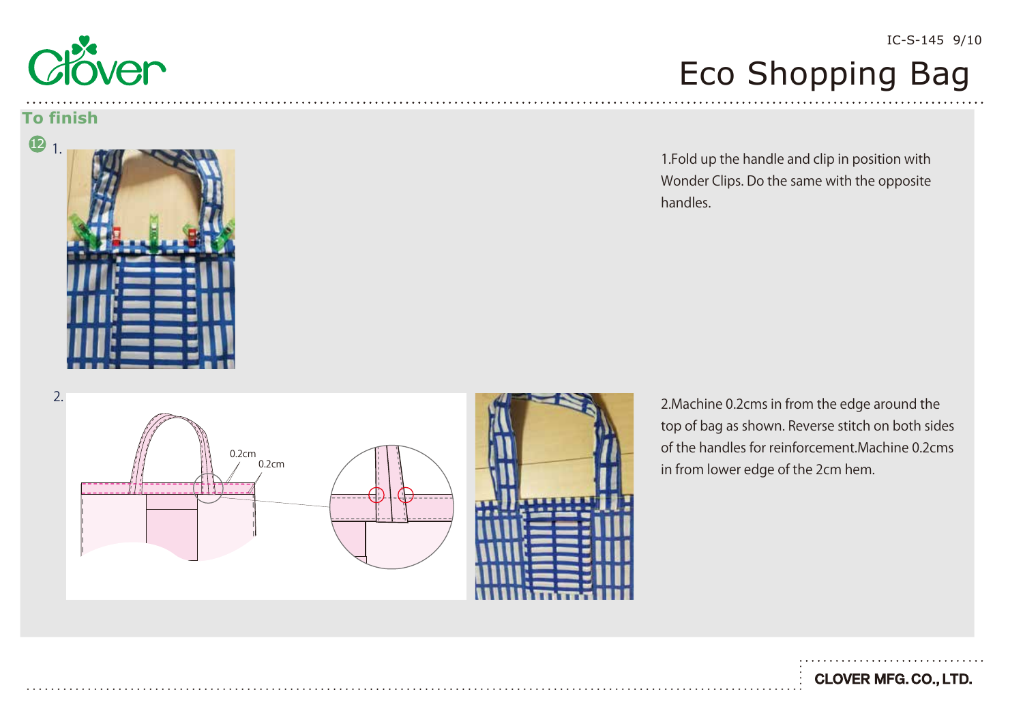

#### **To finish**



### IC-S-145 9/10

### Eco Shopping Bag

1.Fold up the handle and clip in position with Wonder Clips. Do the same with the opposite handles.

0.2cm 0.2cm 2. 2. 2. 2. 2. All the edge around the state of the state of the state of the state of the state of the state of the state of the state of the state of the state of the state of the state of the state of the state of the s

top of bag as shown. Reverse stitch on both sides of the handles for reinforcement.Machine 0.2cms in from lower edge of the 2cm hem.